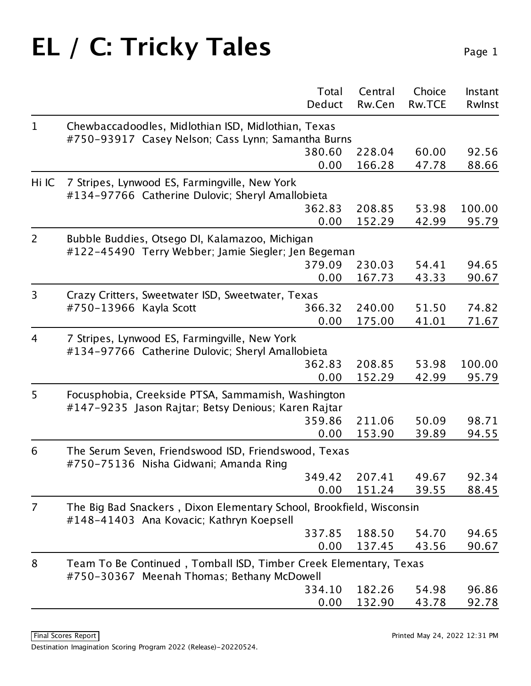|                |                                                                                                                  | Total  | Central | Choice        | Instant |  |  |  |
|----------------|------------------------------------------------------------------------------------------------------------------|--------|---------|---------------|---------|--|--|--|
|                |                                                                                                                  | Deduct | Rw.Cen  | <b>Rw.TCE</b> | Rwlnst  |  |  |  |
| $\mathbf 1$    | Chewbaccadoodles, Midlothian ISD, Midlothian, Texas                                                              |        |         |               |         |  |  |  |
|                | #750-93917 Casey Nelson; Cass Lynn; Samantha Burns                                                               |        |         |               |         |  |  |  |
|                |                                                                                                                  | 380.60 | 228.04  | 60.00         | 92.56   |  |  |  |
|                |                                                                                                                  | 0.00   | 166.28  | 47.78         | 88.66   |  |  |  |
| Hi IC          | 7 Stripes, Lynwood ES, Farmingville, New York<br>#134-97766 Catherine Dulovic; Sheryl Amallobieta                |        |         |               |         |  |  |  |
|                |                                                                                                                  | 362.83 | 208.85  | 53.98         | 100.00  |  |  |  |
|                |                                                                                                                  | 0.00   | 152.29  | 42.99         | 95.79   |  |  |  |
| 2              | Bubble Buddies, Otsego DI, Kalamazoo, Michigan<br>#122-45490 Terry Webber; Jamie Siegler; Jen Begeman            |        |         |               |         |  |  |  |
|                |                                                                                                                  | 379.09 | 230.03  | 54.41         | 94.65   |  |  |  |
|                |                                                                                                                  | 0.00   | 167.73  | 43.33         | 90.67   |  |  |  |
| 3              | Crazy Critters, Sweetwater ISD, Sweetwater, Texas                                                                |        |         |               |         |  |  |  |
|                | #750-13966 Kayla Scott                                                                                           | 366.32 | 240.00  | 51.50         | 74.82   |  |  |  |
|                |                                                                                                                  | 0.00   | 175.00  | 41.01         | 71.67   |  |  |  |
| $\overline{4}$ | 7 Stripes, Lynwood ES, Farmingville, New York<br>#134-97766 Catherine Dulovic; Sheryl Amallobieta                |        |         |               |         |  |  |  |
|                |                                                                                                                  | 362.83 | 208.85  | 53.98         | 100.00  |  |  |  |
|                |                                                                                                                  | 0.00   | 152.29  | 42.99         | 95.79   |  |  |  |
| 5              | Focusphobia, Creekside PTSA, Sammamish, Washington<br>#147-9235 Jason Rajtar; Betsy Denious; Karen Rajtar        |        |         |               |         |  |  |  |
|                |                                                                                                                  | 359.86 | 211.06  | 50.09         | 98.71   |  |  |  |
|                |                                                                                                                  | 0.00   | 153.90  | 39.89         | 94.55   |  |  |  |
| 6              | The Serum Seven, Friendswood ISD, Friendswood, Texas<br>#750-75136 Nisha Gidwani; Amanda Ring                    |        |         |               |         |  |  |  |
|                |                                                                                                                  | 349.42 | 207.41  | 49.67         | 92.34   |  |  |  |
|                |                                                                                                                  | 0.00   | 151.24  | 39.55         | 88.45   |  |  |  |
| $\overline{7}$ | The Big Bad Snackers, Dixon Elementary School, Brookfield, Wisconsin<br>#148-41403 Ana Kovacic; Kathryn Koepsell |        |         |               |         |  |  |  |
|                |                                                                                                                  | 337.85 | 188.50  | 54.70         | 94.65   |  |  |  |
|                |                                                                                                                  | 0.00   | 137.45  | 43.56         | 90.67   |  |  |  |
| 8              | Team To Be Continued, Tomball ISD, Timber Creek Elementary, Texas<br>#750-30367 Meenah Thomas; Bethany McDowell  |        |         |               |         |  |  |  |
|                |                                                                                                                  | 334.10 | 182.26  | 54.98         | 96.86   |  |  |  |
|                |                                                                                                                  | 0.00   | 132.90  | 43.78         | 92.78   |  |  |  |
|                |                                                                                                                  |        |         |               |         |  |  |  |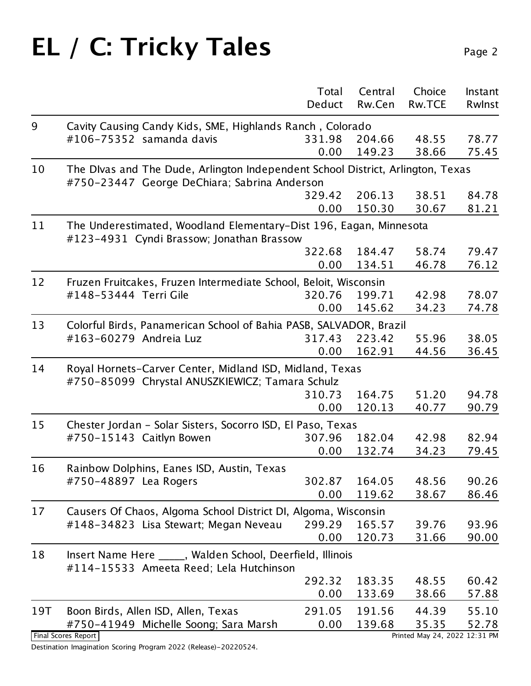|                          | Total  | Central | Choice                                                              | Instant<br>Rwlnst    |
|--------------------------|--------|---------|---------------------------------------------------------------------|----------------------|
|                          |        |         |                                                                     |                      |
| #106-75352 samanda davis | 331.98 |         | 48.55                                                               | 78.77                |
|                          | 0.00   | 149.23  | 38.66                                                               | 75.45                |
|                          |        |         | Cavity Causing Candy Kids, SME, Highlands Ranch, Colorado<br>204.66 | Deduct Rw.Cen Rw.TCE |

|     |                                                                                                                                 | 0.00   | 149.23 | 38.66                         | 75.45 |
|-----|---------------------------------------------------------------------------------------------------------------------------------|--------|--------|-------------------------------|-------|
| 10  | The Divas and The Dude, Arlington Independent School District, Arlington, Texas<br>#750-23447 George DeChiara; Sabrina Anderson |        |        |                               |       |
|     |                                                                                                                                 | 329.42 | 206.13 | 38.51                         | 84.78 |
|     |                                                                                                                                 | 0.00   | 150.30 | 30.67                         | 81.21 |
| 11  | The Underestimated, Woodland Elementary-Dist 196, Eagan, Minnesota<br>#123-4931 Cyndi Brassow; Jonathan Brassow                 |        |        |                               |       |
|     |                                                                                                                                 | 322.68 | 184.47 | 58.74                         | 79.47 |
|     |                                                                                                                                 | 0.00   | 134.51 | 46.78                         | 76.12 |
| 12  | Fruzen Fruitcakes, Fruzen Intermediate School, Beloit, Wisconsin                                                                |        |        |                               |       |
|     | #148-53444 Terri Gile                                                                                                           | 320.76 | 199.71 | 42.98                         | 78.07 |
|     |                                                                                                                                 | 0.00   | 145.62 | 34.23                         | 74.78 |
| 13  | Colorful Birds, Panamerican School of Bahia PASB, SALVADOR, Brazil                                                              |        |        |                               |       |
|     | #163-60279 Andreia Luz                                                                                                          | 317.43 | 223.42 | 55.96                         | 38.05 |
|     |                                                                                                                                 | 0.00   | 162.91 | 44.56                         | 36.45 |
| 14  | Royal Hornets-Carver Center, Midland ISD, Midland, Texas<br>#750-85099 Chrystal ANUSZKIEWICZ; Tamara Schulz                     |        |        |                               |       |
|     |                                                                                                                                 | 310.73 | 164.75 | 51.20                         | 94.78 |
|     |                                                                                                                                 | 0.00   | 120.13 | 40.77                         | 90.79 |
| 15  | Chester Jordan - Solar Sisters, Socorro ISD, El Paso, Texas                                                                     |        |        |                               |       |
|     | #750-15143 Caitlyn Bowen                                                                                                        | 307.96 | 182.04 | 42.98                         | 82.94 |
|     |                                                                                                                                 | 0.00   | 132.74 | 34.23                         | 79.45 |
| 16  | Rainbow Dolphins, Eanes ISD, Austin, Texas                                                                                      |        |        |                               |       |
|     | #750-48897 Lea Rogers                                                                                                           | 302.87 | 164.05 | 48.56                         | 90.26 |
|     |                                                                                                                                 | 0.00   | 119.62 | 38.67                         | 86.46 |
| 17  | Causers Of Chaos, Algoma School District DI, Algoma, Wisconsin                                                                  |        |        |                               |       |
|     | #148-34823 Lisa Stewart; Megan Neveau                                                                                           | 299.29 | 165.57 | 39.76                         | 93.96 |
|     |                                                                                                                                 | 0.00   | 120.73 | 31.66                         | 90.00 |
| 18  | Insert Name Here _____, Walden School, Deerfield, Illinois<br>#114-15533 Ameeta Reed; Lela Hutchinson                           |        |        |                               |       |
|     |                                                                                                                                 | 292.32 | 183.35 | 48.55                         | 60.42 |
|     |                                                                                                                                 | 0.00   | 133.69 | 38.66                         | 57.88 |
| 19T | Boon Birds, Allen ISD, Allen, Texas                                                                                             | 291.05 | 191.56 | 44.39                         | 55.10 |
|     | #750-41949 Michelle Soong; Sara Marsh                                                                                           | 0.00   | 139.68 | 35.35                         | 52.78 |
|     | Final Scores Report                                                                                                             |        |        | Printed May 24, 2022 12:31 PM |       |

Destination Imagination Scoring Program 2022 (Release)-20220524.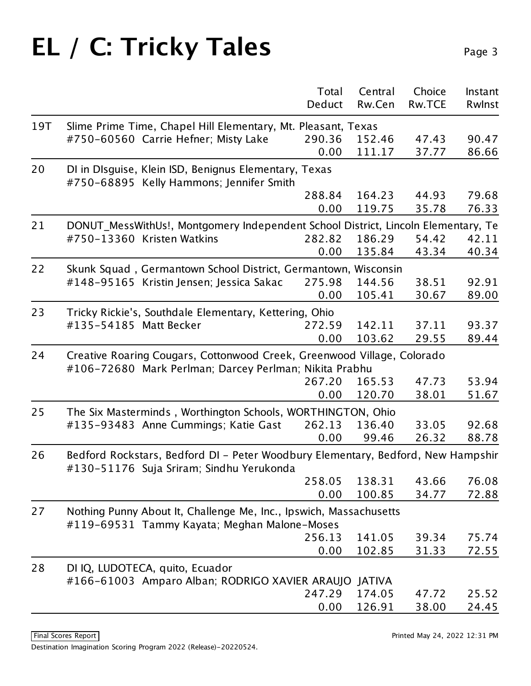|     |                                                             |                                                                                   | Total<br>Deduct | Central<br>Rw.Cen | Choice<br><b>Rw.TCE</b> | Instant<br>Rwlnst |  |  |
|-----|-------------------------------------------------------------|-----------------------------------------------------------------------------------|-----------------|-------------------|-------------------------|-------------------|--|--|
| 19T |                                                             | Slime Prime Time, Chapel Hill Elementary, Mt. Pleasant, Texas                     |                 |                   |                         |                   |  |  |
|     |                                                             | #750-60560 Carrie Hefner; Misty Lake                                              | 290.36          | 152.46            | 47.43                   | 90.47             |  |  |
|     |                                                             |                                                                                   | 0.00            | 111.17            | 37.77                   | 86.66             |  |  |
| 20  |                                                             | DI in DIsguise, Klein ISD, Benignus Elementary, Texas                             |                 |                   |                         |                   |  |  |
|     |                                                             | #750-68895 Kelly Hammons; Jennifer Smith                                          |                 |                   |                         |                   |  |  |
|     |                                                             |                                                                                   | 288.84          | 164.23            | 44.93                   | 79.68             |  |  |
|     |                                                             |                                                                                   | 0.00            | 119.75            | 35.78                   | 76.33             |  |  |
| 21  |                                                             | DONUT_MessWithUs!, Montgomery Independent School District, Lincoln Elementary, Te |                 |                   |                         |                   |  |  |
|     |                                                             | #750-13360 Kristen Watkins                                                        | 282.82          | 186.29            | 54.42                   | 42.11             |  |  |
|     |                                                             |                                                                                   | 0.00            | 135.84            | 43.34                   | 40.34             |  |  |
| 22  |                                                             | Skunk Squad, Germantown School District, Germantown, Wisconsin                    |                 |                   |                         |                   |  |  |
|     |                                                             | #148-95165 Kristin Jensen; Jessica Sakac                                          | 275.98          | 144.56            | 38.51                   | 92.91             |  |  |
|     |                                                             |                                                                                   | 0.00            | 105.41            | 30.67                   | 89.00             |  |  |
| 23  |                                                             | Tricky Rickie's, Southdale Elementary, Kettering, Ohio                            |                 |                   |                         |                   |  |  |
|     | #135-54185 Matt Becker                                      |                                                                                   | 272.59          | 142.11            | 37.11                   | 93.37             |  |  |
|     |                                                             |                                                                                   | 0.00            | 103.62            | 29.55                   | 89.44             |  |  |
| 24  |                                                             | Creative Roaring Cougars, Cottonwood Creek, Greenwood Village, Colorado           |                 |                   |                         |                   |  |  |
|     |                                                             | #106-72680 Mark Perlman; Darcey Perlman; Nikita Prabhu                            |                 |                   |                         |                   |  |  |
|     |                                                             |                                                                                   | 267.20          | 165.53            | 47.73                   | 53.94             |  |  |
|     |                                                             |                                                                                   | 0.00            | 120.70            | 38.01                   | 51.67             |  |  |
| 25  | The Six Masterminds, Worthington Schools, WORTHINGTON, Ohio |                                                                                   |                 |                   |                         |                   |  |  |
|     |                                                             | #135-93483 Anne Cummings; Katie Gast                                              | 262.13          | 136.40            | 33.05                   | 92.68             |  |  |
|     |                                                             |                                                                                   | 0.00            | 99.46             | 26.32                   | 88.78             |  |  |
| 26  |                                                             | Bedford Rockstars, Bedford DI - Peter Woodbury Elementary, Bedford, New Hampshir  |                 |                   |                         |                   |  |  |
|     |                                                             | #130-51176 Suja Sriram; Sindhu Yerukonda                                          |                 |                   |                         |                   |  |  |
|     |                                                             |                                                                                   | 258.05          | 138.31            | 43.66                   | 76.08             |  |  |
|     |                                                             |                                                                                   | 0.00            | 100.85            | 34.77                   | 72.88             |  |  |
| 27  |                                                             | Nothing Punny About It, Challenge Me, Inc., Ipswich, Massachusetts                |                 |                   |                         |                   |  |  |
|     |                                                             | #119-69531 Tammy Kayata; Meghan Malone-Moses                                      |                 |                   |                         |                   |  |  |
|     |                                                             |                                                                                   | 256.13          | 141.05            | 39.34                   | 75.74             |  |  |
|     |                                                             |                                                                                   | 0.00            | 102.85            | 31.33                   | 72.55             |  |  |
| 28  |                                                             | DI IQ, LUDOTECA, quito, Ecuador                                                   |                 |                   |                         |                   |  |  |
|     |                                                             | #166-61003 Amparo Alban; RODRIGO XAVIER ARAUJO                                    |                 | JATIVA            |                         |                   |  |  |
|     |                                                             |                                                                                   | 247.29          | 174.05            | 47.72                   | 25.52             |  |  |
|     |                                                             |                                                                                   | 0.00            | 126.91            | 38.00                   | 24.45             |  |  |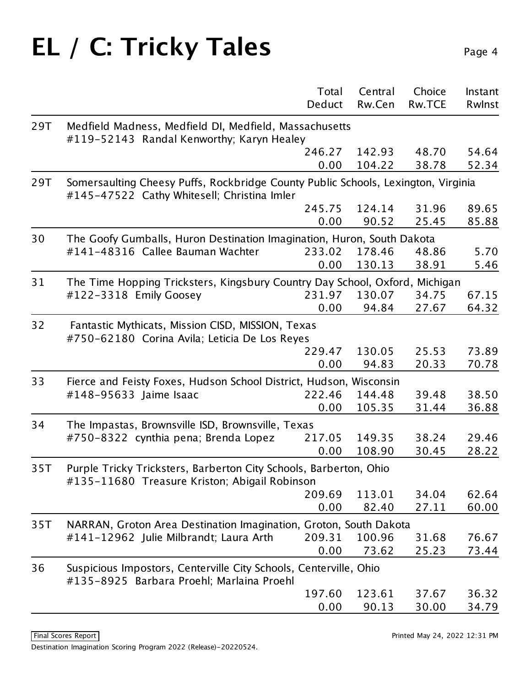|     |                                                                                                                                  | Total<br>Deduct | Central<br>Rw.Cen | Choice<br><b>Rw.TCE</b> | Instant<br>Rwinst |
|-----|----------------------------------------------------------------------------------------------------------------------------------|-----------------|-------------------|-------------------------|-------------------|
| 29T | Medfield Madness, Medfield DI, Medfield, Massachusetts                                                                           |                 |                   |                         |                   |
|     | #119-52143 Randal Kenworthy; Karyn Healey                                                                                        |                 |                   |                         |                   |
|     |                                                                                                                                  | 246.27          | 142.93            | 48.70                   | 54.64             |
|     |                                                                                                                                  | 0.00            | 104.22            | 38.78                   | 52.34             |
| 29T | Somersaulting Cheesy Puffs, Rockbridge County Public Schools, Lexington, Virginia<br>#145-47522 Cathy Whitesell; Christina Imler |                 |                   |                         |                   |
|     |                                                                                                                                  | 245.75          | 124.14            | 31.96                   | 89.65             |
|     |                                                                                                                                  | 0.00            | 90.52             | 25.45                   | 85.88             |
| 30  | The Goofy Gumballs, Huron Destination Imagination, Huron, South Dakota                                                           |                 |                   |                         |                   |
|     | #141-48316 Callee Bauman Wachter                                                                                                 | 233.02          | 178.46            | 48.86                   | 5.70              |
|     |                                                                                                                                  | 0.00            | 130.13            | 38.91                   | 5.46              |
| 31  | The Time Hopping Tricksters, Kingsbury Country Day School, Oxford, Michigan                                                      |                 |                   |                         |                   |
|     | #122-3318 Emily Goosey                                                                                                           | 231.97          | 130.07            | 34.75                   | 67.15             |
|     |                                                                                                                                  | 0.00            | 94.84             | 27.67                   | 64.32             |
| 32  | Fantastic Mythicats, Mission CISD, MISSION, Texas<br>#750-62180 Corina Avila; Leticia De Los Reyes                               |                 |                   |                         |                   |
|     |                                                                                                                                  | 229.47          | 130.05            | 25.53                   | 73.89             |
|     |                                                                                                                                  | 0.00            | 94.83             | 20.33                   | 70.78             |
| 33  | Fierce and Feisty Foxes, Hudson School District, Hudson, Wisconsin                                                               |                 |                   |                         |                   |
|     | #148-95633 Jaime Isaac                                                                                                           | 222.46          | 144.48            | 39.48                   | 38.50             |
|     |                                                                                                                                  | 0.00            | 105.35            | 31.44                   | 36.88             |
| 34  | The Impastas, Brownsville ISD, Brownsville, Texas                                                                                |                 |                   |                         |                   |
|     | #750-8322 cynthia pena; Brenda Lopez                                                                                             | 217.05          | 149.35            | 38.24                   | 29.46             |
|     |                                                                                                                                  | 0.00            | 108.90            | 30.45                   | 28.22             |
| 35T | Purple Tricky Tricksters, Barberton City Schools, Barberton, Ohio<br>#135-11680 Treasure Kriston; Abigail Robinson               |                 |                   |                         |                   |
|     |                                                                                                                                  | 209.69          | 113.01            | 34.04                   | 62.64             |
|     |                                                                                                                                  | 0.00            | 82.40             | 27.11                   | 60.00             |
| 35T | NARRAN, Groton Area Destination Imagination, Groton, South Dakota                                                                |                 |                   |                         |                   |
|     | #141-12962 Julie Milbrandt; Laura Arth                                                                                           | 209.31          | 100.96            | 31.68                   | 76.67             |
|     |                                                                                                                                  | 0.00            | 73.62             | 25.23                   | 73.44             |
| 36  | Suspicious Impostors, Centerville City Schools, Centerville, Ohio<br>#135-8925 Barbara Proehl; Marlaina Proehl                   |                 |                   |                         |                   |
|     |                                                                                                                                  | 197.60          | 123.61            | 37.67                   | 36.32             |
|     |                                                                                                                                  | 0.00            | 90.13             | 30.00                   | 34.79             |
|     |                                                                                                                                  |                 |                   |                         |                   |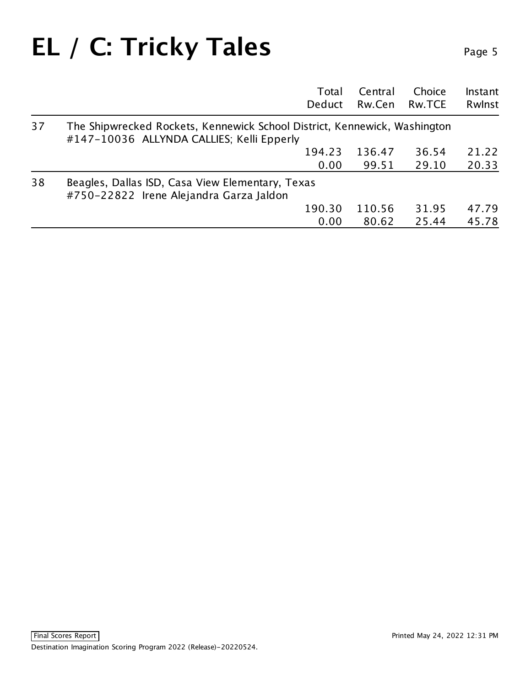#### **EL / C: Tricky Tales**

| Ω<br>ב | ıc |  |
|--------|----|--|
|        |    |  |

|    |                                                                                                                        | Total          | Central<br>Rw.Cen | Choice         | Instant        |
|----|------------------------------------------------------------------------------------------------------------------------|----------------|-------------------|----------------|----------------|
|    |                                                                                                                        | Deduct         |                   | Rw.TCE         | Rwlnst         |
| 37 | The Shipwrecked Rockets, Kennewick School District, Kennewick, Washington<br>#147-10036 ALLYNDA CALLIES; Kelli Epperly |                |                   |                |                |
|    |                                                                                                                        | 194.23<br>0.00 | 136.47<br>99.51   | 36.54<br>29.10 | 21.22<br>20.33 |
| 38 | Beagles, Dallas ISD, Casa View Elementary, Texas<br>#750-22822 Irene Alejandra Garza Jaldon                            |                |                   |                |                |
|    |                                                                                                                        | 190.30         | 110.56            | 31.95          | 47.79          |
|    |                                                                                                                        | 0.00           | 80.62             | 25.44          | 45.78          |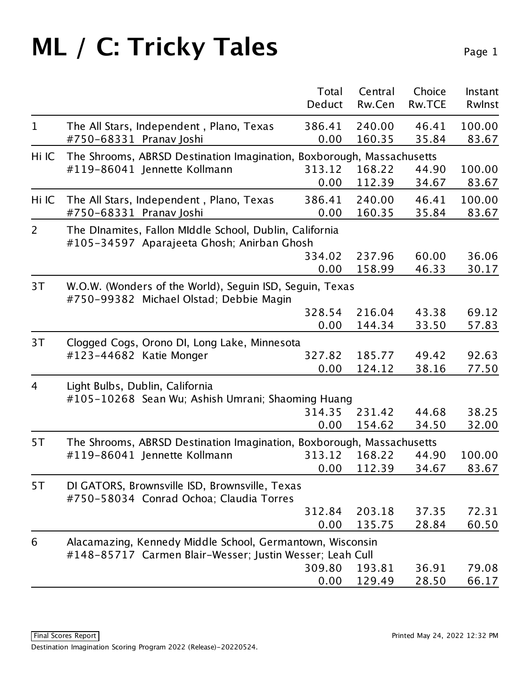|                |                                                                                                                       | Total<br>Deduct | Central<br>Rw.Cen | Choice<br>Rw.TCE | Instant<br>Rwlnst |  |  |
|----------------|-----------------------------------------------------------------------------------------------------------------------|-----------------|-------------------|------------------|-------------------|--|--|
| $\mathbf{1}$   | The All Stars, Independent, Plano, Texas<br>#750-68331 Pranav Joshi                                                   | 386.41<br>0.00  | 240.00<br>160.35  | 46.41<br>35.84   | 100.00<br>83.67   |  |  |
| Hi IC          | The Shrooms, ABRSD Destination Imagination, Boxborough, Massachusetts                                                 |                 |                   |                  |                   |  |  |
|                | #119-86041 Jennette Kollmann                                                                                          | 313.12          | 168.22            | 44.90            | 100.00            |  |  |
|                |                                                                                                                       | 0.00            | 112.39            | 34.67            | 83.67             |  |  |
| Hi IC          | The All Stars, Independent, Plano, Texas                                                                              | 386.41          | 240.00            | 46.41            | 100.00            |  |  |
|                | #750-68331 Pranav Joshi                                                                                               | 0.00            | 160.35            | 35.84            | 83.67             |  |  |
| $\overline{2}$ | The Dinamites, Fallon Middle School, Dublin, California                                                               |                 |                   |                  |                   |  |  |
|                | #105-34597 Aparajeeta Ghosh; Anirban Ghosh                                                                            |                 |                   |                  |                   |  |  |
|                |                                                                                                                       | 334.02          | 237.96            | 60.00            | 36.06             |  |  |
|                |                                                                                                                       | 0.00            | 158.99            | 46.33            | 30.17             |  |  |
| 3T             | W.O.W. (Wonders of the World), Seguin ISD, Seguin, Texas<br>#750-99382 Michael Olstad; Debbie Magin                   |                 |                   |                  |                   |  |  |
|                |                                                                                                                       | 328.54          | 216.04            | 43.38            | 69.12             |  |  |
|                |                                                                                                                       | 0.00            | 144.34            | 33.50            | 57.83             |  |  |
| 3T             | Clogged Cogs, Orono DI, Long Lake, Minnesota                                                                          |                 |                   |                  |                   |  |  |
|                | #123-44682 Katie Monger                                                                                               | 327.82          | 185.77            | 49.42            | 92.63             |  |  |
|                |                                                                                                                       | 0.00            | 124.12            | 38.16            | 77.50             |  |  |
| 4              | Light Bulbs, Dublin, California<br>#105-10268 Sean Wu; Ashish Umrani; Shaoming Huang                                  |                 |                   |                  |                   |  |  |
|                |                                                                                                                       | 314.35          | 231.42            | 44.68            | 38.25             |  |  |
|                |                                                                                                                       | 0.00            | 154.62            | 34.50            | 32.00             |  |  |
| 5T             | The Shrooms, ABRSD Destination Imagination, Boxborough, Massachusetts                                                 |                 |                   |                  |                   |  |  |
|                | #119-86041 Jennette Kollmann                                                                                          | 313.12          | 168.22            | 44.90            | 100.00            |  |  |
|                |                                                                                                                       | 0.00            | 112.39            | 34.67            | 83.67             |  |  |
| 5T             | DI GATORS, Brownsville ISD, Brownsville, Texas<br>#750-58034 Conrad Ochoa; Claudia Torres                             |                 |                   |                  |                   |  |  |
|                |                                                                                                                       | 312.84          | 203.18            | 37.35            | 72.31             |  |  |
|                |                                                                                                                       | 0.00            | 135.75            | 28.84            | 60.50             |  |  |
| 6              | Alacamazing, Kennedy Middle School, Germantown, Wisconsin<br>#148-85717 Carmen Blair-Wesser; Justin Wesser; Leah Cull |                 |                   |                  |                   |  |  |
|                |                                                                                                                       | 309.80          | 193.81            | 36.91            | 79.08             |  |  |
|                |                                                                                                                       | 0.00            | 129.49            | 28.50            | 66.17             |  |  |
|                |                                                                                                                       |                 |                   |                  |                   |  |  |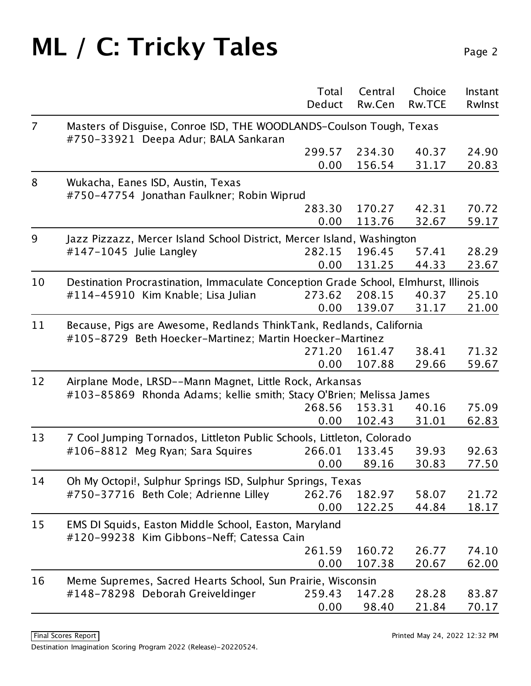|                |                                                                                                                                 | Total<br>Deduct | Central<br>Rw.Cen | Choice<br><b>Rw.TCE</b> | Instant<br>Rwlnst |
|----------------|---------------------------------------------------------------------------------------------------------------------------------|-----------------|-------------------|-------------------------|-------------------|
| $\overline{7}$ | Masters of Disguise, Conroe ISD, THE WOODLANDS-Coulson Tough, Texas                                                             |                 |                   |                         |                   |
|                | #750-33921 Deepa Adur; BALA Sankaran                                                                                            |                 |                   |                         |                   |
|                |                                                                                                                                 | 299.57          | 234.30            | 40.37                   | 24.90             |
|                |                                                                                                                                 | 0.00            | 156.54            | 31.17                   | 20.83             |
| 8              | Wukacha, Eanes ISD, Austin, Texas<br>#750-47754 Jonathan Faulkner; Robin Wiprud                                                 |                 |                   |                         |                   |
|                |                                                                                                                                 | 283.30          | 170.27            | 42.31                   | 70.72             |
|                |                                                                                                                                 | 0.00            | 113.76            | 32.67                   | 59.17             |
| 9              | Jazz Pizzazz, Mercer Island School District, Mercer Island, Washington                                                          |                 |                   |                         |                   |
|                | $\#147 - 1045$ Julie Langley                                                                                                    | 282.15          | 196.45            | 57.41                   | 28.29             |
|                |                                                                                                                                 | 0.00            | 131.25            | 44.33                   | 23.67             |
| 10             | Destination Procrastination, Immaculate Conception Grade School, Elmhurst, Illinois                                             |                 |                   |                         |                   |
|                | #114-45910 Kim Knable; Lisa Julian                                                                                              | 273.62          | 208.15            | 40.37                   | 25.10             |
|                |                                                                                                                                 | 0.00            | 139.07            | 31.17                   | 21.00             |
| 11             | Because, Pigs are Awesome, Redlands ThinkTank, Redlands, California<br>#105-8729 Beth Hoecker-Martinez; Martin Hoecker-Martinez |                 |                   |                         |                   |
|                |                                                                                                                                 | 271.20          | 161.47            | 38.41                   | 71.32             |
|                |                                                                                                                                 | 0.00            | 107.88            | 29.66                   | 59.67             |
| 12             | Airplane Mode, LRSD--Mann Magnet, Little Rock, Arkansas<br>#103-85869 Rhonda Adams; kellie smith; Stacy O'Brien; Melissa James  |                 |                   |                         |                   |
|                |                                                                                                                                 | 268.56          | 153.31            | 40.16                   | 75.09             |
|                |                                                                                                                                 | 0.00            | 102.43            | 31.01                   | 62.83             |
| 13             | 7 Cool Jumping Tornados, Littleton Public Schools, Littleton, Colorado                                                          |                 |                   |                         |                   |
|                | #106-8812 Meg Ryan; Sara Squires                                                                                                | 266.01          | 133.45            | 39.93                   | 92.63             |
|                |                                                                                                                                 | 0.00            | 89.16             | 30.83                   | 77.50             |
| 14             | Oh My Octopi!, Sulphur Springs ISD, Sulphur Springs, Texas                                                                      |                 |                   |                         |                   |
|                | #750-37716 Beth Cole; Adrienne Lilley                                                                                           | 262.76          | 182.97            | 58.07                   | 21.72             |
|                |                                                                                                                                 | 0.00            | 122.25            | 44.84                   | 18.17             |
| 15             | EMS DI Squids, Easton Middle School, Easton, Maryland<br>#120-99238 Kim Gibbons-Neff; Catessa Cain                              |                 |                   |                         |                   |
|                |                                                                                                                                 | 261.59          | 160.72            | 26.77                   | 74.10             |
|                |                                                                                                                                 | 0.00            | 107.38            | 20.67                   | 62.00             |
| 16             | Meme Supremes, Sacred Hearts School, Sun Prairie, Wisconsin                                                                     |                 |                   |                         |                   |
|                | #148-78298 Deborah Greiveldinger                                                                                                | 259.43          | 147.28            | 28.28                   | 83.87             |
|                |                                                                                                                                 | 0.00            | 98.40             | 21.84                   | 70.17             |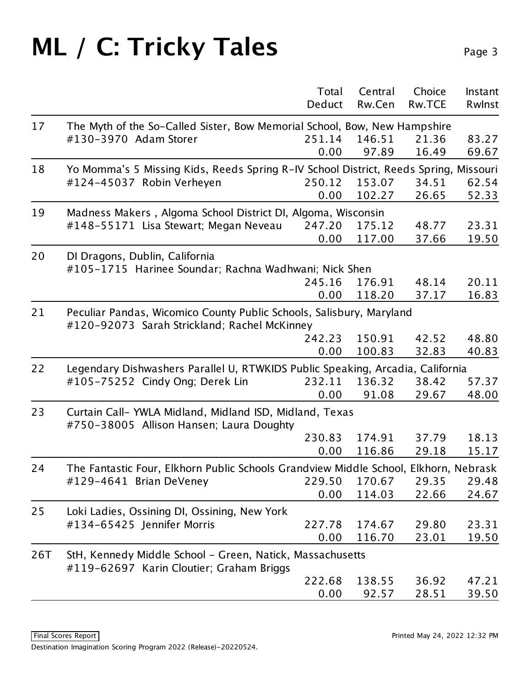|     |                                                                                                    | Total  | Central | Choice        | Instant |
|-----|----------------------------------------------------------------------------------------------------|--------|---------|---------------|---------|
|     |                                                                                                    | Deduct | Rw.Cen  | <b>Rw.TCE</b> | Rwlnst  |
| 17  | The Myth of the So-Called Sister, Bow Memorial School, Bow, New Hampshire                          |        |         |               |         |
|     | #130-3970 Adam Storer                                                                              | 251.14 | 146.51  | 21.36         | 83.27   |
|     |                                                                                                    | 0.00   | 97.89   | 16.49         | 69.67   |
| 18  | Yo Momma's 5 Missing Kids, Reeds Spring R-IV School District, Reeds Spring, Missouri               |        |         |               |         |
|     | #124-45037 Robin Verheyen                                                                          | 250.12 | 153.07  | 34.51         | 62.54   |
|     |                                                                                                    | 0.00   | 102.27  | 26.65         | 52.33   |
| 19  | Madness Makers, Algoma School District DI, Algoma, Wisconsin                                       |        |         |               |         |
|     | #148-55171 Lisa Stewart; Megan Neveau                                                              | 247.20 | 175.12  | 48.77         | 23.31   |
|     |                                                                                                    | 0.00   | 117.00  | 37.66         | 19.50   |
| 20  | DI Dragons, Dublin, California                                                                     |        |         |               |         |
|     | #105-1715 Harinee Soundar; Rachna Wadhwani; Nick Shen                                              |        |         |               |         |
|     |                                                                                                    | 245.16 | 176.91  | 48.14         | 20.11   |
|     |                                                                                                    | 0.00   | 118.20  | 37.17         | 16.83   |
| 21  | Peculiar Pandas, Wicomico County Public Schools, Salisbury, Maryland                               |        |         |               |         |
|     | #120-92073 Sarah Strickland; Rachel McKinney                                                       |        |         |               |         |
|     |                                                                                                    | 242.23 | 150.91  | 42.52         | 48.80   |
|     |                                                                                                    | 0.00   | 100.83  | 32.83         | 40.83   |
| 22  | Legendary Dishwashers Parallel U, RTWKIDS Public Speaking, Arcadia, California                     |        |         |               |         |
|     | #105-75252 Cindy Ong; Derek Lin                                                                    | 232.11 | 136.32  | 38.42         | 57.37   |
|     |                                                                                                    | 0.00   | 91.08   | 29.67         | 48.00   |
| 23  | Curtain Call-YWLA Midland, Midland ISD, Midland, Texas<br>#750-38005 Allison Hansen; Laura Doughty |        |         |               |         |
|     |                                                                                                    | 230.83 | 174.91  | 37.79         | 18.13   |
|     |                                                                                                    | 0.00   | 116.86  | 29.18         | 15.17   |
| 24  | The Fantastic Four, Elkhorn Public Schools Grandview Middle School, Elkhorn, Nebrask               |        |         |               |         |
|     | #129-4641 Brian DeVeney                                                                            | 229.50 | 170.67  | 29.35         | 29.48   |
|     |                                                                                                    | 0.00   | 114.03  | 22.66         | 24.67   |
| 25  | Loki Ladies, Ossining DI, Ossining, New York                                                       |        |         |               |         |
|     | #134-65425 Jennifer Morris                                                                         | 227.78 | 174.67  | 29.80         | 23.31   |
|     |                                                                                                    | 0.00   | 116.70  | 23.01         | 19.50   |
| 26T | StH, Kennedy Middle School - Green, Natick, Massachusetts                                          |        |         |               |         |
|     | #119-62697 Karin Cloutier; Graham Briggs                                                           |        |         |               |         |
|     |                                                                                                    | 222.68 | 138.55  | 36.92         | 47.21   |
|     |                                                                                                    | 0.00   | 92.57   | 28.51         | 39.50   |
|     |                                                                                                    |        |         |               |         |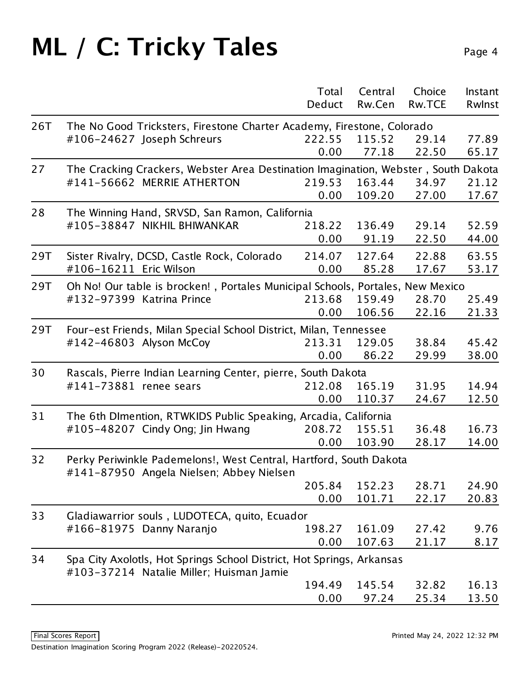|     |                                                                                                                   | Total  | Central | Choice        | Instant |  |  |  |
|-----|-------------------------------------------------------------------------------------------------------------------|--------|---------|---------------|---------|--|--|--|
|     |                                                                                                                   | Deduct | Rw.Cen  | <b>Rw.TCE</b> | Rwlnst  |  |  |  |
| 26T | The No Good Tricksters, Firestone Charter Academy, Firestone, Colorado                                            |        |         |               |         |  |  |  |
|     | #106-24627 Joseph Schreurs                                                                                        | 222.55 | 115.52  | 29.14         | 77.89   |  |  |  |
|     |                                                                                                                   | 0.00   | 77.18   | 22.50         | 65.17   |  |  |  |
| 27  | The Cracking Crackers, Webster Area Destination Imagination, Webster, South Dakota                                |        |         |               |         |  |  |  |
|     | #141-56662 MERRIE ATHERTON                                                                                        | 219.53 | 163.44  | 34.97         | 21.12   |  |  |  |
|     |                                                                                                                   | 0.00   | 109.20  | 27.00         | 17.67   |  |  |  |
| 28  | The Winning Hand, SRVSD, San Ramon, California                                                                    |        |         |               |         |  |  |  |
|     | #105-38847 NIKHIL BHIWANKAR                                                                                       | 218.22 | 136.49  | 29.14         | 52.59   |  |  |  |
|     |                                                                                                                   | 0.00   | 91.19   | 22.50         | 44.00   |  |  |  |
| 29T | Sister Rivalry, DCSD, Castle Rock, Colorado                                                                       | 214.07 | 127.64  | 22.88         | 63.55   |  |  |  |
|     | #106-16211 Eric Wilson                                                                                            | 0.00   | 85.28   | 17.67         | 53.17   |  |  |  |
| 29T | Oh No! Our table is brocken!, Portales Municipal Schools, Portales, New Mexico                                    |        |         |               |         |  |  |  |
|     | #132-97399 Katrina Prince                                                                                         | 213.68 | 159.49  | 28.70         | 25.49   |  |  |  |
|     |                                                                                                                   | 0.00   | 106.56  | 22.16         | 21.33   |  |  |  |
| 29T | Four-est Friends, Milan Special School District, Milan, Tennessee                                                 |        |         |               |         |  |  |  |
|     | #142-46803 Alyson McCoy                                                                                           | 213.31 | 129.05  | 38.84         | 45.42   |  |  |  |
|     |                                                                                                                   | 0.00   | 86.22   | 29.99         | 38.00   |  |  |  |
| 30  | Rascals, Pierre Indian Learning Center, pierre, South Dakota                                                      |        |         |               |         |  |  |  |
|     | #141-73881 renee sears                                                                                            | 212.08 | 165.19  | 31.95         | 14.94   |  |  |  |
|     |                                                                                                                   | 0.00   | 110.37  | 24.67         | 12.50   |  |  |  |
| 31  | The 6th DImention, RTWKIDS Public Speaking, Arcadia, California                                                   |        |         |               |         |  |  |  |
|     | #105-48207 Cindy Ong; Jin Hwang                                                                                   | 208.72 | 155.51  | 36.48         | 16.73   |  |  |  |
|     |                                                                                                                   | 0.00   | 103.90  | 28.17         | 14.00   |  |  |  |
| 32  | Perky Periwinkle Pademelons!, West Central, Hartford, South Dakota                                                |        |         |               |         |  |  |  |
|     | #141-87950 Angela Nielsen; Abbey Nielsen                                                                          |        |         |               |         |  |  |  |
|     |                                                                                                                   | 205.84 | 152.23  | 28.71         | 24.90   |  |  |  |
|     |                                                                                                                   | 0.00   | 101.71  | 22.17         | 20.83   |  |  |  |
| 33  | Gladiawarrior souls, LUDOTECA, quito, Ecuador                                                                     |        |         |               |         |  |  |  |
|     | #166-81975 Danny Naranjo                                                                                          | 198.27 | 161.09  | 27.42         | 9.76    |  |  |  |
|     |                                                                                                                   | 0.00   | 107.63  | 21.17         | 8.17    |  |  |  |
| 34  | Spa City Axolotls, Hot Springs School District, Hot Springs, Arkansas<br>#103-37214 Natalie Miller; Huisman Jamie |        |         |               |         |  |  |  |
|     |                                                                                                                   | 194.49 | 145.54  | 32.82         | 16.13   |  |  |  |
|     |                                                                                                                   | 0.00   | 97.24   | 25.34         | 13.50   |  |  |  |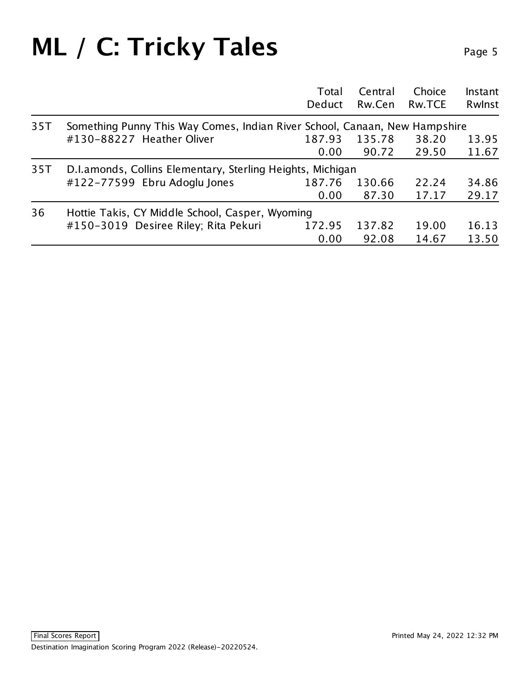|     |                                                                            | Total<br>Deduct | Central<br>Rw.Cen | Choice<br>Rw.TCE | Instant<br>Rwlnst |  |  |  |
|-----|----------------------------------------------------------------------------|-----------------|-------------------|------------------|-------------------|--|--|--|
| 35T | Something Punny This Way Comes, Indian River School, Canaan, New Hampshire |                 |                   |                  |                   |  |  |  |
|     | #130-88227 Heather Oliver                                                  | 187.93          | 135.78            | 38.20            | 13.95             |  |  |  |
|     |                                                                            | 0.00            | 90.72             | 29.50            | 11.67             |  |  |  |
| 35T | D.I.amonds, Collins Elementary, Sterling Heights, Michigan                 |                 |                   |                  |                   |  |  |  |
|     | #122-77599 Ebru Adoglu Jones                                               | 187.76          | 130.66            | 22.24            | 34.86             |  |  |  |
|     |                                                                            | 0.00            | 87.30             | 17.17            | 29.17             |  |  |  |
| 36  | Hottie Takis, CY Middle School, Casper, Wyoming                            |                 |                   |                  |                   |  |  |  |
|     | #150-3019 Desiree Riley; Rita Pekuri                                       | 172.95          | 137.82            | 19.00            | 16.13             |  |  |  |
|     |                                                                            | 0.00            | 92.08             | 14.67            | 13.50             |  |  |  |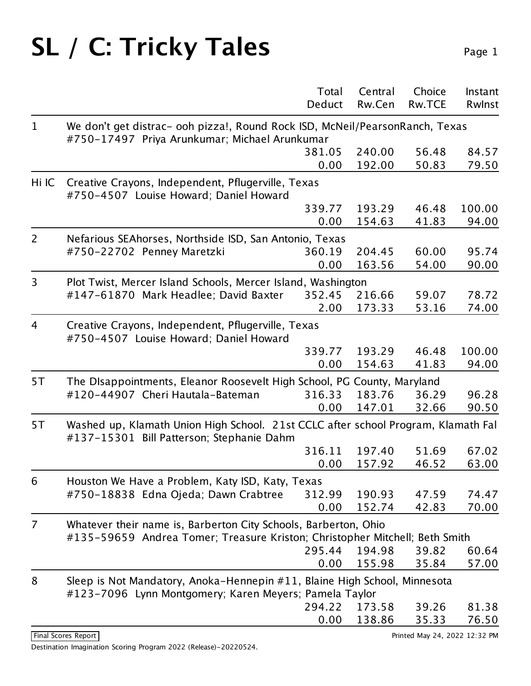|                |                                                                                                                                                | Total<br>Deduct | Central<br>Rw.Cen | Choice<br>Rw.TCE | Instant<br>Rwinst |  |
|----------------|------------------------------------------------------------------------------------------------------------------------------------------------|-----------------|-------------------|------------------|-------------------|--|
| $\mathbf 1$    | We don't get distrac- ooh pizza!, Round Rock ISD, McNeil/PearsonRanch, Texas<br>#750-17497 Priya Arunkumar; Michael Arunkumar                  |                 |                   |                  |                   |  |
|                |                                                                                                                                                | 381.05          | 240.00            | 56.48            | 84.57             |  |
|                |                                                                                                                                                | 0.00            | 192.00            | 50.83            | 79.50             |  |
| Hi IC          | Creative Crayons, Independent, Pflugerville, Texas<br>#750-4507 Louise Howard; Daniel Howard                                                   |                 |                   |                  |                   |  |
|                |                                                                                                                                                | 339.77          | 193.29            | 46.48            | 100.00            |  |
|                |                                                                                                                                                | 0.00            | 154.63            | 41.83            | 94.00             |  |
| $\overline{2}$ | Nefarious SEAhorses, Northside ISD, San Antonio, Texas                                                                                         |                 |                   |                  |                   |  |
|                | #750-22702 Penney Maretzki                                                                                                                     | 360.19          | 204.45            | 60.00            | 95.74             |  |
|                |                                                                                                                                                | 0.00            | 163.56            | 54.00            | 90.00             |  |
| 3              | Plot Twist, Mercer Island Schools, Mercer Island, Washington                                                                                   |                 |                   |                  |                   |  |
|                | #147-61870 Mark Headlee; David Baxter                                                                                                          | 352.45          | 216.66            | 59.07            | 78.72             |  |
|                |                                                                                                                                                | 2.00            | 173.33            | 53.16            | 74.00             |  |
| 4              | Creative Crayons, Independent, Pflugerville, Texas<br>#750-4507 Louise Howard; Daniel Howard                                                   |                 |                   |                  |                   |  |
|                |                                                                                                                                                | 339.77          | 193.29            | 46.48            | 100.00            |  |
|                |                                                                                                                                                | 0.00            | 154.63            | 41.83            | 94.00             |  |
| 5T             | The DIsappointments, Eleanor Roosevelt High School, PG County, Maryland                                                                        |                 |                   |                  |                   |  |
|                | #120-44907 Cheri Hautala-Bateman                                                                                                               | 316.33          | 183.76            | 36.29            | 96.28             |  |
|                |                                                                                                                                                | 0.00            | 147.01            | 32.66            | 90.50             |  |
| 5T             | Washed up, Klamath Union High School. 21st CCLC after school Program, Klamath Fal<br>#137-15301 Bill Patterson; Stephanie Dahm                 |                 |                   |                  |                   |  |
|                |                                                                                                                                                | 316.11          | 197.40            | 51.69            | 67.02             |  |
|                |                                                                                                                                                | 0.00            | 157.92            | 46.52            | 63.00             |  |
| 6              | Houston We Have a Problem, Katy ISD, Katy, Texas                                                                                               |                 |                   |                  |                   |  |
|                | #750-18838 Edna Ojeda; Dawn Crabtree                                                                                                           | 312.99          | 190.93            | 47.59            | 74.47             |  |
|                |                                                                                                                                                | 0.00            | 152.74            | 42.83            | 70.00             |  |
| 7              | Whatever their name is, Barberton City Schools, Barberton, Ohio<br>#135-59659 Andrea Tomer; Treasure Kriston; Christopher Mitchell; Beth Smith |                 |                   |                  |                   |  |
|                |                                                                                                                                                | 295.44          | 194.98            | 39.82            | 60.64             |  |
|                |                                                                                                                                                | 0.00            | 155.98            | 35.84            | 57.00             |  |
| 8              | Sleep is Not Mandatory, Anoka-Hennepin #11, Blaine High School, Minnesota<br>#123-7096 Lynn Montgomery; Karen Meyers; Pamela Taylor            |                 |                   |                  |                   |  |
|                |                                                                                                                                                | 294.22          | 173.58            | 39.26            | 81.38             |  |
|                |                                                                                                                                                | 0.00            | 138.86            | 35.33            | 76.50             |  |
|                |                                                                                                                                                |                 |                   |                  |                   |  |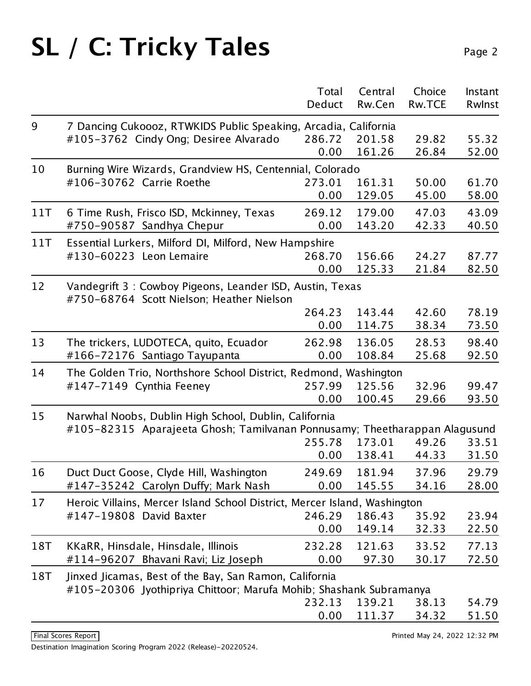|     |                                                                                                       | Total<br>Deduct | Central | Choice<br>Rw.TCE | Instant |  |
|-----|-------------------------------------------------------------------------------------------------------|-----------------|---------|------------------|---------|--|
|     |                                                                                                       |                 | Rw.Cen  |                  | Rwlnst  |  |
| 9   | 7 Dancing Cukoooz, RTWKIDS Public Speaking, Arcadia, California                                       |                 |         |                  |         |  |
|     | #105-3762 Cindy Ong; Desiree Alvarado                                                                 | 286.72          | 201.58  | 29.82            | 55.32   |  |
|     |                                                                                                       | 0.00            | 161.26  | 26.84            | 52.00   |  |
| 10  | Burning Wire Wizards, Grandview HS, Centennial, Colorado                                              |                 |         |                  |         |  |
|     | #106-30762 Carrie Roethe                                                                              | 273.01          | 161.31  | 50.00            | 61.70   |  |
|     |                                                                                                       | 0.00            | 129.05  | 45.00            | 58.00   |  |
| 11T | 6 Time Rush, Frisco ISD, Mckinney, Texas                                                              | 269.12          | 179.00  | 47.03            | 43.09   |  |
|     | #750-90587 Sandhya Chepur                                                                             | 0.00            | 143.20  | 42.33            | 40.50   |  |
| 11T | Essential Lurkers, Milford DI, Milford, New Hampshire                                                 |                 |         |                  |         |  |
|     | #130-60223 Leon Lemaire                                                                               | 268.70          | 156.66  | 24.27            | 87.77   |  |
|     |                                                                                                       | 0.00            | 125.33  | 21.84            | 82.50   |  |
| 12  | Vandegrift 3: Cowboy Pigeons, Leander ISD, Austin, Texas<br>#750-68764 Scott Nielson; Heather Nielson |                 |         |                  |         |  |
|     |                                                                                                       | 264.23          | 143.44  | 42.60            | 78.19   |  |
|     |                                                                                                       | 0.00            | 114.75  | 38.34            | 73.50   |  |
| 13  | The trickers, LUDOTECA, quito, Ecuador                                                                | 262.98          | 136.05  | 28.53            | 98.40   |  |
|     | #166-72176 Santiago Tayupanta                                                                         | 0.00            | 108.84  | 25.68            | 92.50   |  |
| 14  | The Golden Trio, Northshore School District, Redmond, Washington                                      |                 |         |                  |         |  |
|     | #147-7149 Cynthia Feeney                                                                              | 257.99          | 125.56  | 32.96            | 99.47   |  |
|     |                                                                                                       | 0.00            | 100.45  | 29.66            | 93.50   |  |
| 15  | Narwhal Noobs, Dublin High School, Dublin, California                                                 |                 |         |                  |         |  |
|     | #105-82315 Aparajeeta Ghosh; Tamilvanan Ponnusamy; Theetharappan Alagusund                            |                 |         |                  |         |  |
|     |                                                                                                       | 255.78          | 173.01  | 49.26            | 33.51   |  |
|     |                                                                                                       | 0.00            | 138.41  | 44.33            | 31.50   |  |
| 16  | Duct Duct Goose, Clyde Hill, Washington                                                               | 249.69          | 181.94  | 37.96            | 29.79   |  |
|     | #147-35242 Carolyn Duffy; Mark Nash                                                                   | 0.00            | 145.55  | 34.16            | 28.00   |  |
| 17  | Heroic Villains, Mercer Island School District, Mercer Island, Washington                             |                 |         |                  |         |  |
|     | #147-19808 David Baxter                                                                               | 246.29          | 186.43  | 35.92            | 23.94   |  |
|     |                                                                                                       | 0.00            | 149.14  | 32.33            | 22.50   |  |
| 18T | KKaRR, Hinsdale, Hinsdale, Illinois                                                                   | 232.28          | 121.63  | 33.52            | 77.13   |  |
|     | #114-96207 Bhavani Ravi; Liz Joseph                                                                   | 0.00            | 97.30   | 30.17            | 72.50   |  |
| 18T | Jinxed Jicamas, Best of the Bay, San Ramon, California                                                |                 |         |                  |         |  |
|     | #105-20306 Jyothipriya Chittoor; Marufa Mohib; Shashank Subramanya                                    |                 |         |                  |         |  |
|     |                                                                                                       | 232.13          | 139.21  | 38.13            | 54.79   |  |
|     |                                                                                                       | 0.00            | 111.37  | 34.32            | 51.50   |  |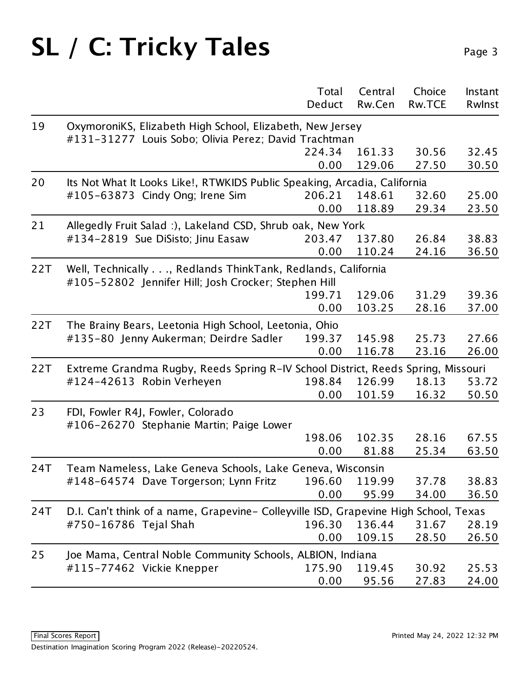|     |                                                                                                                     | Total<br>Deduct                                                           | Central<br>Rw.Cen | Choice<br><b>Rw.TCE</b> | Instant<br>Rwinst |  |  |
|-----|---------------------------------------------------------------------------------------------------------------------|---------------------------------------------------------------------------|-------------------|-------------------------|-------------------|--|--|
| 19  | OxymoroniKS, Elizabeth High School, Elizabeth, New Jersey<br>#131-31277 Louis Sobo; Olivia Perez; David Trachtman   |                                                                           |                   |                         |                   |  |  |
|     |                                                                                                                     | 224.34<br>0.00                                                            | 161.33<br>129.06  | 30.56<br>27.50          | 32.45<br>30.50    |  |  |
| 20  |                                                                                                                     | Its Not What It Looks Like!, RTWKIDS Public Speaking, Arcadia, California |                   |                         |                   |  |  |
|     | #105-63873 Cindy Ong; Irene Sim                                                                                     | 206.21<br>0.00                                                            | 148.61<br>118.89  | 32.60<br>29.34          | 25.00<br>23.50    |  |  |
| 21  | Allegedly Fruit Salad :), Lakeland CSD, Shrub oak, New York                                                         |                                                                           |                   |                         |                   |  |  |
|     | #134-2819 Sue DiSisto; Jinu Easaw                                                                                   | 203.47<br>0.00                                                            | 137.80<br>110.24  | 26.84<br>24.16          | 38.83<br>36.50    |  |  |
| 22T | Well, Technically, Redlands ThinkTank, Redlands, California<br>#105-52802 Jennifer Hill; Josh Crocker; Stephen Hill |                                                                           |                   |                         |                   |  |  |
|     |                                                                                                                     | 199.71                                                                    | 129.06            | 31.29                   | 39.36             |  |  |
|     |                                                                                                                     | 0.00                                                                      | 103.25            | 28.16                   | 37.00             |  |  |
| 22T | The Brainy Bears, Leetonia High School, Leetonia, Ohio                                                              |                                                                           |                   |                         |                   |  |  |
|     | #135-80 Jenny Aukerman; Deirdre Sadler                                                                              | 199.37                                                                    | 145.98            | 25.73                   | 27.66             |  |  |
|     |                                                                                                                     | 0.00                                                                      | 116.78            | 23.16                   | 26.00             |  |  |
| 22T | Extreme Grandma Rugby, Reeds Spring R-IV School District, Reeds Spring, Missouri                                    |                                                                           |                   |                         |                   |  |  |
|     | #124-42613 Robin Verheyen                                                                                           | 198.84                                                                    | 126.99            | 18.13                   | 53.72             |  |  |
|     |                                                                                                                     | 0.00                                                                      | 101.59            | 16.32                   | 50.50             |  |  |
| 23  | FDI, Fowler R4J, Fowler, Colorado<br>#106-26270 Stephanie Martin; Paige Lower                                       |                                                                           |                   |                         |                   |  |  |
|     |                                                                                                                     | 198.06                                                                    | 102.35            | 28.16                   | 67.55             |  |  |
|     |                                                                                                                     | 0.00                                                                      | 81.88             | 25.34                   | 63.50             |  |  |
| 24T | Team Nameless, Lake Geneva Schools, Lake Geneva, Wisconsin                                                          |                                                                           |                   |                         |                   |  |  |
|     | #148-64574 Dave Torgerson; Lynn Fritz                                                                               | 196.60                                                                    | 119.99            | 37.78                   | 38.83             |  |  |
|     |                                                                                                                     | 0.00                                                                      | 95.99             | 34.00                   | 36.50             |  |  |
| 24T | D.I. Can't think of a name, Grapevine- Colleyville ISD, Grapevine High School, Texas                                |                                                                           |                   |                         |                   |  |  |
|     | #750-16786 Tejal Shah                                                                                               | 196.30                                                                    | 136.44            | 31.67                   | 28.19             |  |  |
|     |                                                                                                                     | 0.00                                                                      | 109.15            | 28.50                   | 26.50             |  |  |
| 25  | Joe Mama, Central Noble Community Schools, ALBION, Indiana                                                          |                                                                           |                   |                         |                   |  |  |
|     | #115-77462 Vickie Knepper                                                                                           | 175.90                                                                    | 119.45            | 30.92                   | 25.53             |  |  |
|     |                                                                                                                     | 0.00                                                                      | 95.56             | 27.83                   | 24.00             |  |  |
|     |                                                                                                                     |                                                                           |                   |                         |                   |  |  |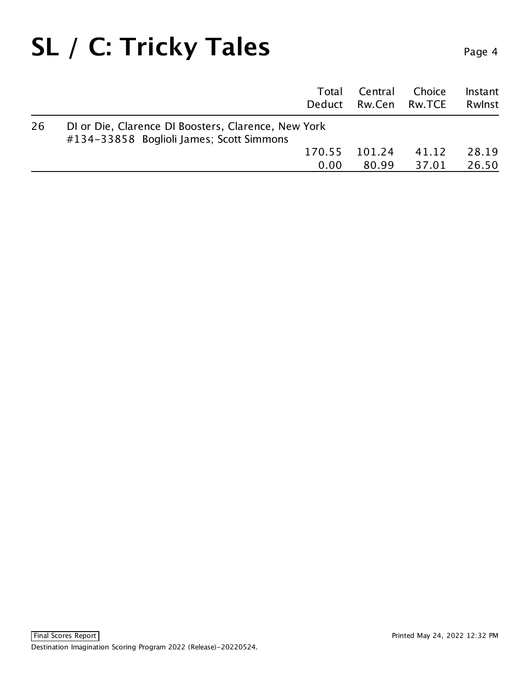—

|    |                                                                                                 | Total<br>Deduct | Central<br>Rw.Cen Rw.TCE | Choice | Instant<br>Rwlnst |
|----|-------------------------------------------------------------------------------------------------|-----------------|--------------------------|--------|-------------------|
| 26 | DI or Die, Clarence DI Boosters, Clarence, New York<br>#134-33858 Boglioli James; Scott Simmons |                 |                          |        |                   |
|    |                                                                                                 | 170.55          | 101.24                   | 41.12  | 28.19             |
|    |                                                                                                 | 0.00            | 80.99                    | 37.01  | 26.50             |